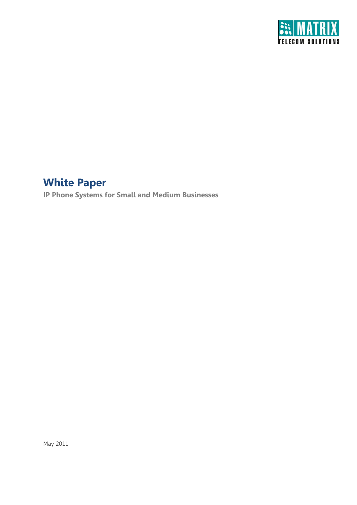

# **White Paper**

**IP Phone Systems for Small and Medium Businesses**

May 2011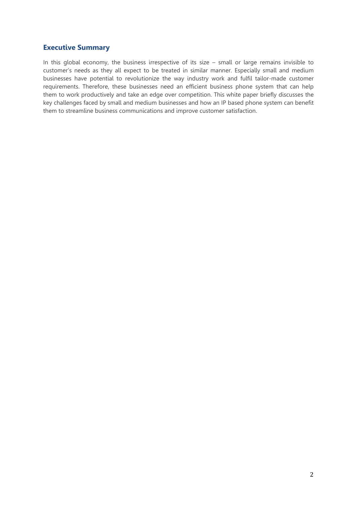# **Executive Summary**

In this global economy, the business irrespective of its size – small or large remains invisible to customer's needs as they all expect to be treated in similar manner. Especially small and medium businesses have potential to revolutionize the way industry work and fulfil tailor-made customer requirements. Therefore, these businesses need an efficient business phone system that can help them to work productively and take an edge over competition. This white paper briefly discusses the key challenges faced by small and medium businesses and how an IP based phone system can benefit them to streamline business communications and improve customer satisfaction.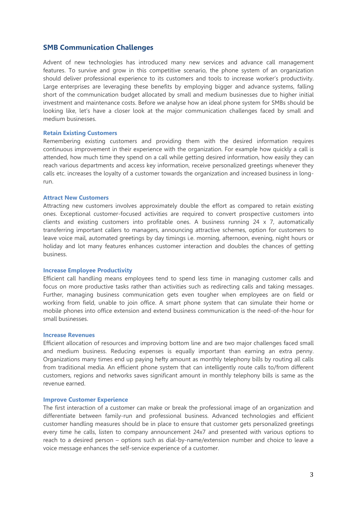## **SMB Communication Challenges**

Advent of new technologies has introduced many new services and advance call management features. To survive and grow in this competitive scenario, the phone system of an organization should deliver professional experience to its customers and tools to increase worker's productivity. Large enterprises are leveraging these benefits by employing bigger and advance systems, falling short of the communication budget allocated by small and medium businesses due to higher initial investment and maintenance costs. Before we analyse how an ideal phone system for SMBs should be looking like, let's have a closer look at the major communication challenges faced by small and medium businesses.

#### **Retain Existing Customers**

Remembering existing customers and providing them with the desired information requires continuous improvement in their experience with the organization. For example how quickly a call is attended, how much time they spend on a call while getting desired information, how easily they can reach various departments and access key information, receive personalized greetings whenever they calls etc. increases the loyalty of a customer towards the organization and increased business in longrun.

#### **Attract New Customers**

Attracting new customers involves approximately double the effort as compared to retain existing ones. Exceptional customer-focused activities are required to convert prospective customers into clients and existing customers into profitable ones. A business running 24 x 7, automatically transferring important callers to managers, announcing attractive schemes, option for customers to leave voice mail, automated greetings by day timings i.e. morning, afternoon, evening, night hours or holiday and lot many features enhances customer interaction and doubles the chances of getting business.

#### **Increase Employee Productivity**

Efficient call handling means employees tend to spend less time in managing customer calls and focus on more productive tasks rather than activities such as redirecting calls and taking messages. Further, managing business communication gets even tougher when employees are on field or working from field, unable to join office. A smart phone system that can simulate their home or mobile phones into office extension and extend business communication is the need-of-the-hour for small businesses.

#### **Increase Revenues**

Efficient allocation of resources and improving bottom line and are two major challenges faced small and medium business. Reducing expenses is equally important than earning an extra penny. Organizations many times end up paying hefty amount as monthly telephony bills by routing all calls from traditional media. An efficient phone system that can intelligently route calls to/from different customers, regions and networks saves significant amount in monthly telephony bills is same as the revenue earned.

#### **Improve Customer Experience**

The first interaction of a customer can make or break the professional image of an organization and differentiate between family-run and professional business. Advanced technologies and efficient customer handling measures should be in place to ensure that customer gets personalized greetings every time he calls, listen to company announcement 24x7 and presented with various options to reach to a desired person – options such as dial-by-name/extension number and choice to leave a voice message enhances the self-service experience of a customer.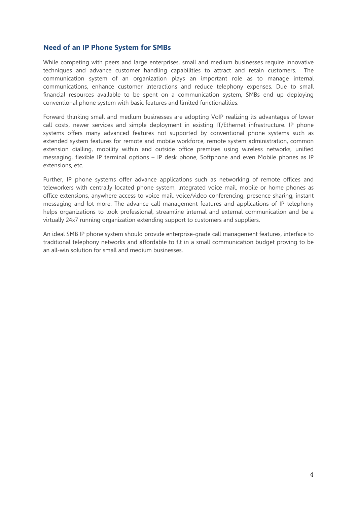# **Need of an IP Phone System for SMBs**

While competing with peers and large enterprises, small and medium businesses require innovative techniques and advance customer handling capabilities to attract and retain customers. The communication system of an organization plays an important role as to manage internal communications, enhance customer interactions and reduce telephony expenses. Due to small financial resources available to be spent on a communication system, SMBs end up deploying conventional phone system with basic features and limited functionalities.

Forward thinking small and medium businesses are adopting VoIP realizing its advantages of lower call costs, newer services and simple deployment in existing IT/Ethernet infrastructure. IP phone systems offers many advanced features not supported by conventional phone systems such as extended system features for remote and mobile workforce, remote system administration, common extension dialling, mobility within and outside office premises using wireless networks, unified messaging, flexible IP terminal options – IP desk phone, Softphone and even Mobile phones as IP extensions, etc.

Further, IP phone systems offer advance applications such as networking of remote offices and teleworkers with centrally located phone system, integrated voice mail, mobile or home phones as office extensions, anywhere access to voice mail, voice/video conferencing, presence sharing, instant messaging and lot more. The advance call management features and applications of IP telephony helps organizations to look professional, streamline internal and external communication and be a virtually 24x7 running organization extending support to customers and suppliers.

An ideal SMB IP phone system should provide enterprise-grade call management features, interface to traditional telephony networks and affordable to fit in a small communication budget proving to be an all-win solution for small and medium businesses.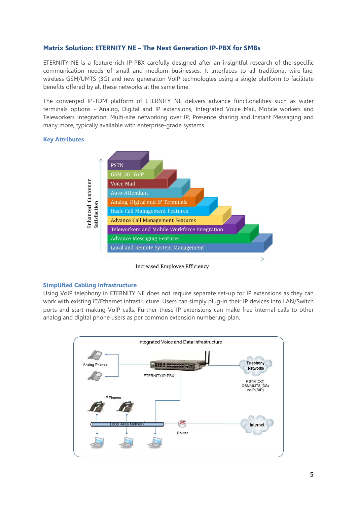# **Matrix Solution: ETERNITY NE – The Next Generation IP-PBX for SMBs**

ETERNITY NE is a feature-rich IP-PBX carefully designed after an insightful research of the specific communication needs of small and medium businesses. It interfaces to all traditional wire-line, wireless GSM/UMTS (3G) and new generation VoIP technologies using a single platform to facilitate benefits offered by all these networks at the same time.

The converged IP-TDM platform of ETERNITY NE delivers advance functionalities such as wider terminals options - Analog, Digital and IP extensions, Integrated Voice Mail, Mobile workers and Teleworkers Integration, Multi-site networking over IP, Presence sharing and Instant Messaging and many more, typically available with enterprise-grade systems.

## **Key Attributes**



Increased Employee Efficiency

## **Simplified Cabling Infrastructure**

Using VoIP telephony in ETERNITY NE does not require separate set-up for IP extensions as they can work with existing IT/Ethernet infrastructure. Users can simply plug-in their IP devices into LAN/Switch ports and start making VoIP calls. Further these IP extensions can make free internal calls to other analog and digital phone users as per common extension numbering plan.

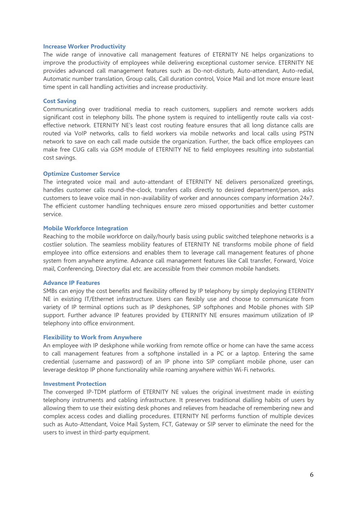#### **Increase Worker Productivity**

The wide range of innovative call management features of ETERNITY NE helps organizations to improve the productivity of employees while delivering exceptional customer service. ETERNITY NE provides advanced call management features such as Do-not-disturb, Auto-attendant, Auto-redial, Automatic number translation, Group calls, Call duration control, Voice Mail and lot more ensure least time spent in call handling activities and increase productivity.

## **Cost Saving**

Communicating over traditional media to reach customers, suppliers and remote workers adds significant cost in telephony bills. The phone system is required to intelligently route calls via costeffective network. ETERNITY NE's least cost routing feature ensures that all long distance calls are routed via VoIP networks, calls to field workers via mobile networks and local calls using PSTN network to save on each call made outside the organization. Further, the back office employees can make free CUG calls via GSM module of ETERNITY NE to field employees resulting into substantial cost savings.

#### **Optimize Customer Service**

The integrated voice mail and auto-attendant of ETERNITY NE delivers personalized greetings, handles customer calls round-the-clock, transfers calls directly to desired department/person, asks customers to leave voice mail in non-availability of worker and announces company information 24x7. The efficient customer handling techniques ensure zero missed opportunities and better customer service.

#### **Mobile Workforce Integration**

Reaching to the mobile workforce on daily/hourly basis using public switched telephone networks is a costlier solution. The seamless mobility features of ETERNITY NE transforms mobile phone of field employee into office extensions and enables them to leverage call management features of phone system from anywhere anytime. Advance call management features like Call transfer, Forward, Voice mail, Conferencing, Directory dial etc. are accessible from their common mobile handsets.

#### **Advance IP Features**

SMBs can enjoy the cost benefits and flexibility offered by IP telephony by simply deploying ETERNITY NE in existing IT/Ethernet infrastructure. Users can flexibly use and choose to communicate from variety of IP terminal options such as IP deskphones, SIP softphones and Mobile phones with SIP support. Further advance IP features provided by ETERNITY NE ensures maximum utilization of IP telephony into office environment.

#### **Flexibility to Work from Anywhere**

An employee with IP deskphone while working from remote office or home can have the same access to call management features from a softphone installed in a PC or a laptop. Entering the same credential (username and password) of an IP phone into SIP compliant mobile phone, user can leverage desktop IP phone functionality while roaming anywhere within Wi-Fi networks.

#### **Investment Protection**

The converged IP-TDM platform of ETERNITY NE values the original investment made in existing telephony instruments and cabling infrastructure. It preserves traditional dialling habits of users by allowing them to use their existing desk phones and relieves from headache of remembering new and complex access codes and dialling procedures. ETERNITY NE performs function of multiple devices such as Auto-Attendant, Voice Mail System, FCT, Gateway or SIP server to eliminate the need for the users to invest in third-party equipment.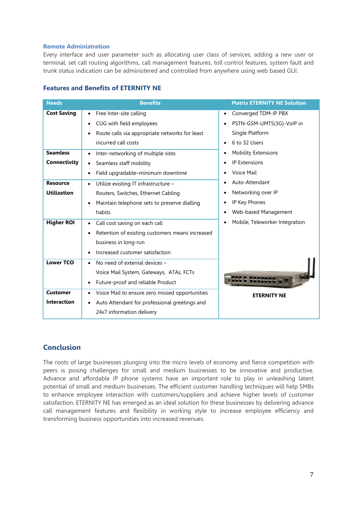## **Remote Administration**

Every interface and user parameter such as allocating user class of services, adding a new user or terminal, set call routing algorithms, call management features, toll control features, system fault and trunk status indication can be administered and controlled from anywhere using web based GUI.

| <b>Features and Benefits of ETERNITY NE</b> |  |  |  |  |  |  |
|---------------------------------------------|--|--|--|--|--|--|
|---------------------------------------------|--|--|--|--|--|--|

| <b>Needs</b>       | <b>Benefits</b>                                              | <b>Matrix ETERNITY NE Solution</b> |
|--------------------|--------------------------------------------------------------|------------------------------------|
| <b>Cost Saving</b> | Free Inter-site calling<br>$\bullet$                         | Converged TDM-IP PBX               |
|                    | CUG with field employees<br>$\bullet$                        | PSTN-GSM-UMTS(3G)-VoIP in          |
|                    | Route calls via appropriate networks for least<br>$\bullet$  | Single Platform                    |
|                    | incurred call costs                                          | 6 to 32 Users                      |
| <b>Seamless</b>    | Inter-networking of multiple sites<br>$\bullet$              | <b>Mobility Extensions</b>         |
| Connectivity       | Seamless staff mobility<br>$\bullet$                         | <b>IP Extensions</b>               |
|                    | Field upgradable-minimum downtime<br>$\bullet$               | Voice Mail                         |
| <b>Resource</b>    | Utilize existing IT infrastructure -<br>$\bullet$            | Auto-Attendant                     |
| <b>Utilization</b> | Routers, Switches, Ethernet Cabling                          | Networking over IP                 |
|                    | Maintain telephone sets to preserve dialling<br>$\bullet$    | IP Key Phones                      |
|                    | habits                                                       | Web-based Management               |
| <b>Higher ROI</b>  | Call cost saving on each call<br>$\bullet$                   | Mobile, Teleworker Integration     |
|                    | Retention of existing customers means increased<br>$\bullet$ |                                    |
|                    | business in long-run                                         |                                    |
|                    | Increased customer satisfaction<br>$\bullet$                 |                                    |
| <b>Lower TCO</b>   | No need of external devices -                                |                                    |
|                    | Voice Mail System, Gateways, ATAs, FCTs                      |                                    |
|                    | Future-proof and reliable Product<br>$\bullet$               |                                    |
| <b>Customer</b>    | Voice Mail to ensure zero missed opportunities<br>٠          | <b>ETERNITY NE</b>                 |
| <b>Interaction</b> | Auto Attendant for professional greetings and<br>$\bullet$   |                                    |
|                    | 24x7 information delivery                                    |                                    |

# **Conclusion**

The roots of large businesses plunging into the micro levels of economy and fierce competition with peers is posing challenges for small and medium businesses to be innovative and productive. Advance and affordable IP phone systems have an important role to play in unleashing latent potential of small and medium businesses. The efficient customer handling techniques will help SMBs to enhance employee interaction with customers/suppliers and achieve higher levels of customer satisfaction. ETERNITY NE has emerged as an ideal solution for these businesses by delivering advance call management features and flexibility in working style to increase employee efficiency and transforming business opportunities into increased revenues.